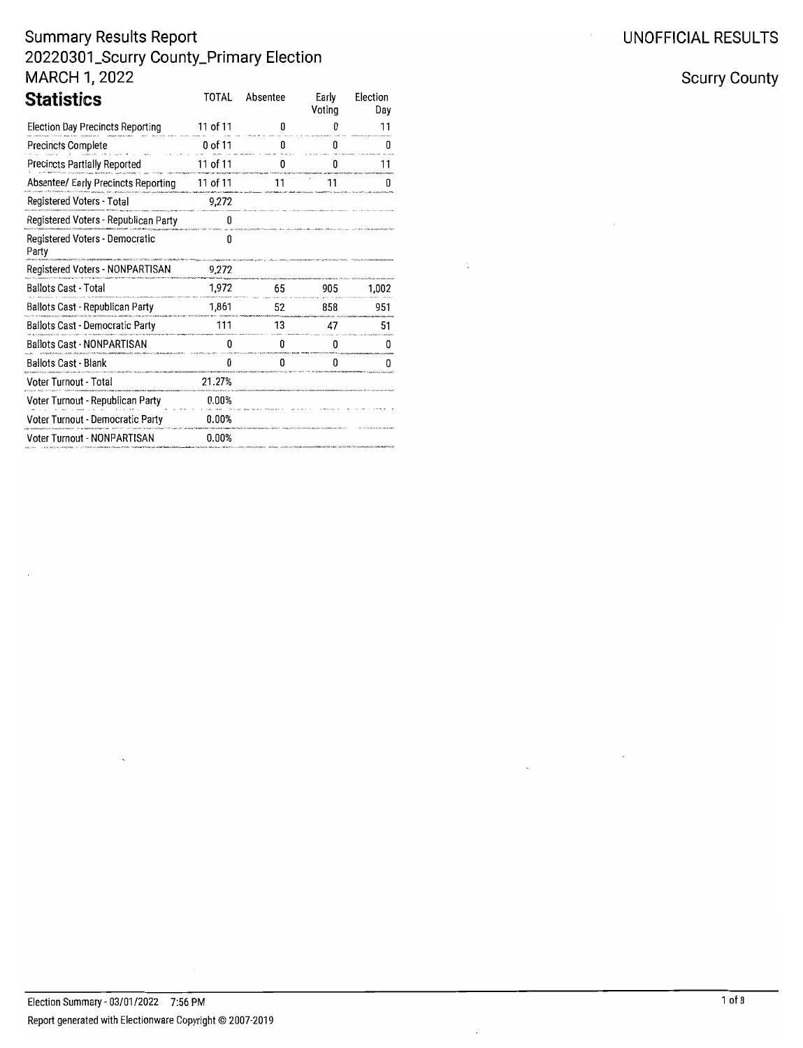| Statistics                              | TOTAL    | Absentee | Early<br>Voting | Election<br>Dav |
|-----------------------------------------|----------|----------|-----------------|-----------------|
| Election Day Precincts Reporting        | 11 of 11 | n        | Π               | 11              |
| <b>Precincts Complete</b>               | 0 of 11  | n        | n               | п               |
| Precincts Partially Reported            | 11 of 11 |          |                 | 11              |
| Absentee/ Early Precincts Reporting     | 11 of 11 | 11       | 11              | п               |
| Registered Voters - Total               | 9,272    |          |                 |                 |
| Registered Voters - Republican Party    | O        |          |                 |                 |
| Registered Voters - Democratic<br>Party | 0        |          |                 |                 |
| Registered Voters - NONPARTISAN         | 9,272    |          |                 |                 |
| <b>Ballots Cast - Total</b>             | 1,972    | 65       | 905             | 1,002           |
| Ballots Cast - Republican Party         | 1,861    | 52       | 858             | 951             |
| <b>Ballots Cast - Democratic Party</b>  | 111      | 13       | 47              | 51              |
| <b>Ballots Cast - NONPARTISAN</b>       | 0        | 0        | 0               | O               |
| <b>Ballots Cast - Blank</b>             | 0        | 0        | 0               | n               |
| Voter Turnout - Total                   | 21.27%   |          |                 |                 |
| Voter Turnout - Republican Party        | 0.00%    |          |                 |                 |
| Voter Turnout - Democratic Party        | 0.00%    |          |                 |                 |
| Voter Turnout - NONPARTISAN             | 0.00%    |          |                 |                 |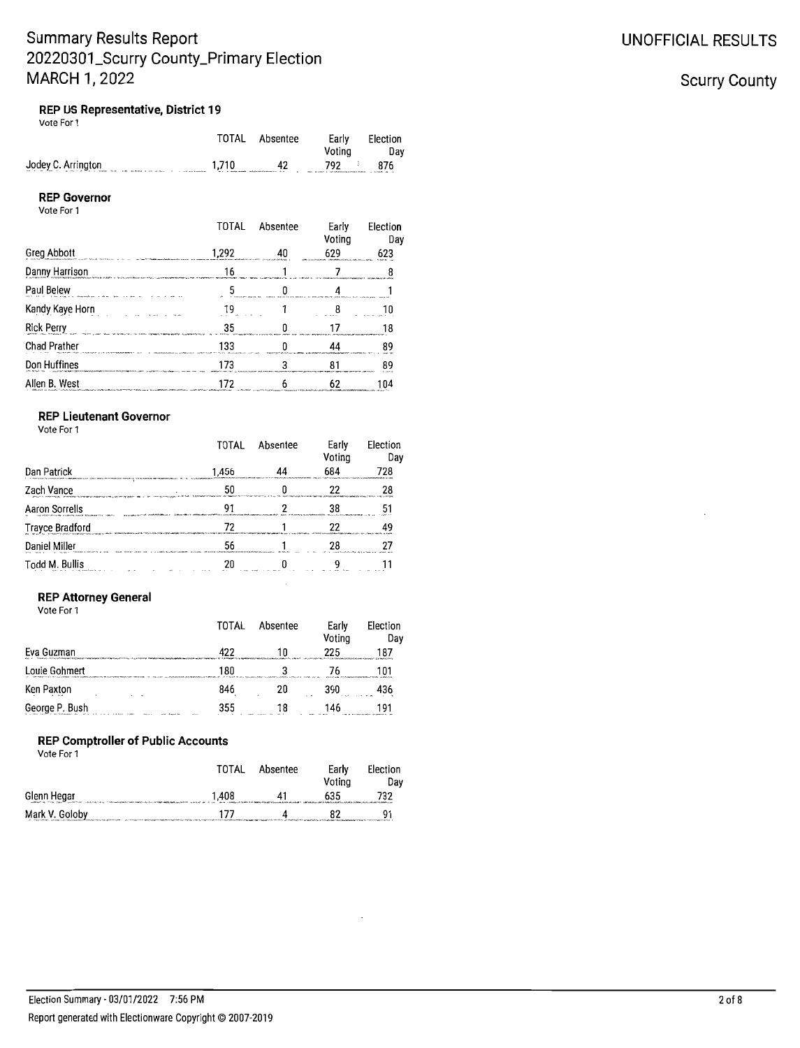### **UNOFFICIAL RESULTS**

### **Scurry County**

### REP US Representative, District 19

| Vote For 1 |  |  |  |  |
|------------|--|--|--|--|
|------------|--|--|--|--|

|                    |              | TOTAL Absentee | Early                                                                              | Election |
|--------------------|--------------|----------------|------------------------------------------------------------------------------------|----------|
|                    |              |                | Votina                                                                             | Dav      |
| Jodey C. Arrington | $1,710$ $4.$ | 42             | 792<br>recomed a percentation of contract that the contract of the contract of the | 876      |

#### **REP Governor** Vote For 1

|                                                                                                                                      | TOTAL | Absentee | Early<br>Voting | Election<br>Day |
|--------------------------------------------------------------------------------------------------------------------------------------|-------|----------|-----------------|-----------------|
| <b>Greg Abbott</b>                                                                                                                   | 1,292 |          | 629             | 623             |
| Danny Harrison                                                                                                                       |       |          |                 |                 |
| Paul Belew                                                                                                                           |       |          |                 |                 |
| Kandy Kaye Horn                                                                                                                      |       |          |                 |                 |
| <b>Rick Perry</b>                                                                                                                    | 35    |          |                 |                 |
| <b>Chad Prather</b>                                                                                                                  | 133   |          |                 |                 |
| Don Huffines                                                                                                                         |       |          |                 |                 |
| Allen B. West<br>.<br>2000 - Paris Land Land Barbara (1995), contrato de la contrato de la contrato de la contrato de la contrato de | 172   |          | 62              | 104             |

### **REP Lieutenant Governor**

Vote For 1

|                        | TOTAL                                                                  | Absentee | Early<br>Voting | Flection<br>Dav                    |
|------------------------|------------------------------------------------------------------------|----------|-----------------|------------------------------------|
| Dan Patrick            | 1,456                                                                  |          | 684             | 728                                |
| Zach Vance             |                                                                        |          |                 |                                    |
| <b>Aaron Sorrells</b>  |                                                                        |          |                 |                                    |
| <b>Trayce Bradford</b> |                                                                        |          |                 |                                    |
| Daniel Miller          | of a communications and construction of the community of the community |          |                 | technically deliverance coloni and |
| Todd M. Bullis         |                                                                        |          |                 |                                    |

### **REP Attorney General**

Vote For 1

|                | TOTAL | Absentee | Early<br>Voting | Election<br>Day |
|----------------|-------|----------|-----------------|-----------------|
| Eva Guzman     | 422   |          | 225             | 187             |
| Louie Gohmert  | 180   |          |                 | 101             |
| Ken Paxton     | 846   | 20       | 390             | 436             |
| George P. Bush | 355   | 18       | 146             | 191             |

#### **REP Comptroller of Public Accounts**

Vote For 1

|                | TOTAL | Absentee | Early<br>Votina | Election<br>Dav |
|----------------|-------|----------|-----------------|-----------------|
| Glenn Hegar    | 1,408 | 41       | 635             | 732             |
| Mark V. Goloby | 177   |          | 87              | Q1              |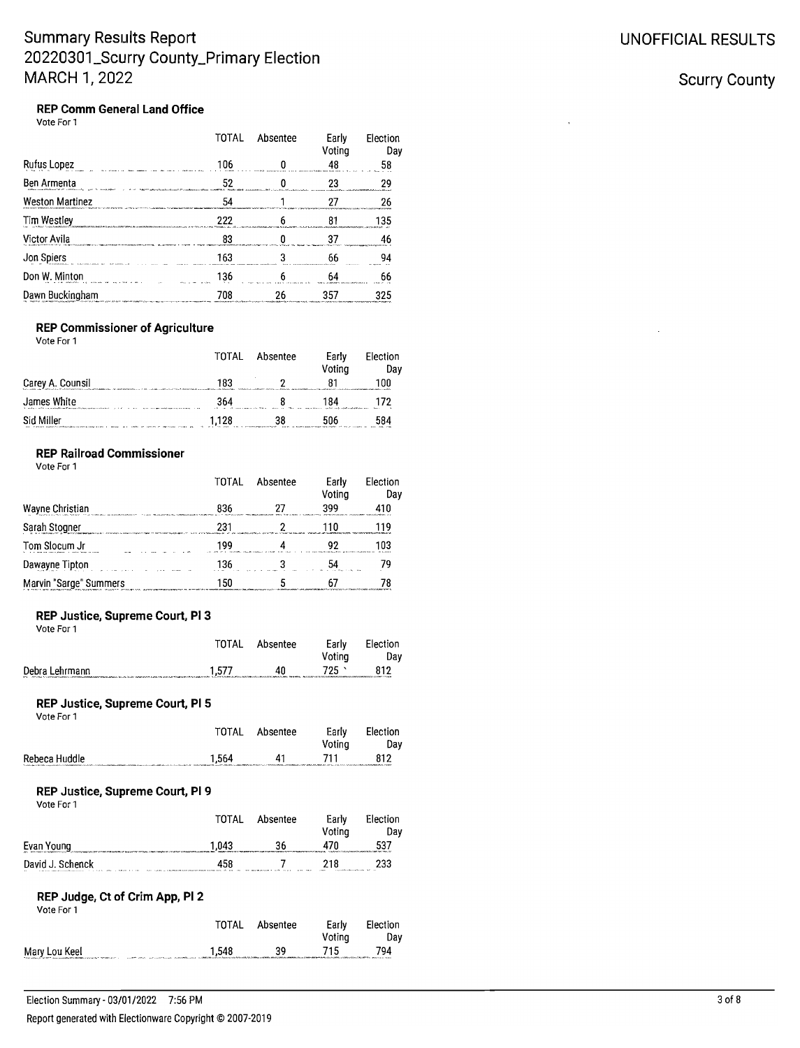### **Scurry County**

#### **REP Comm General Land Office** Vote For 1

|                                                                                                                               | TOTAL                                                                                                                                                                                                                                | Absentee | Early<br>Voting                                                                                                | Election<br>Day |
|-------------------------------------------------------------------------------------------------------------------------------|--------------------------------------------------------------------------------------------------------------------------------------------------------------------------------------------------------------------------------------|----------|----------------------------------------------------------------------------------------------------------------|-----------------|
| Rufus Lopez                                                                                                                   | 106                                                                                                                                                                                                                                  |          | 48                                                                                                             | 58              |
| Ben Armenta<br>In Place, consecutive formal St. 2011, and other conclusion                                                    | 52<br>2002 when hands a family the authorities of their conditions and authorities and the characteristic construction and account the content of the content of the content of the content of the content of the content of the con |          |                                                                                                                | 20              |
| <b>Weston Martinez</b>                                                                                                        | 54                                                                                                                                                                                                                                   |          | hel bathan na haifa a shekarar ta tara ta tara a ta tara ta tara ta tara ta tara ta tara ta tara ta tara a tar |                 |
| Tim Westley<br>ma con componenta entre entre a una haciente como el alemando en el constitución de la casa el casa de la casa | 222                                                                                                                                                                                                                                  |          | <b>SALAREN - TEN PER SERIKA KANSARA PROGRAM DI SERIKA ETA ETA ERA</b>                                          | 35              |
| Victor Avila                                                                                                                  |                                                                                                                                                                                                                                      |          |                                                                                                                |                 |
| Jon Spiers                                                                                                                    | 163                                                                                                                                                                                                                                  |          | 66<br><b>***********</b>                                                                                       |                 |
| Don W. Minton<br>a disk interaction in a contract that is the contract of the contract of                                     | 136                                                                                                                                                                                                                                  |          |                                                                                                                |                 |
| Dawn Buckingham                                                                                                               | 708                                                                                                                                                                                                                                  | 26       | 357                                                                                                            |                 |

#### **REP Commissioner of Agriculture**

Vote For 1

|                                                                                                                                                                                                                                             | TOTAL                                  | Absentee                                                                                                            | Earlv<br>Votina                                                                                                      | Election<br>Dav   |
|---------------------------------------------------------------------------------------------------------------------------------------------------------------------------------------------------------------------------------------------|----------------------------------------|---------------------------------------------------------------------------------------------------------------------|----------------------------------------------------------------------------------------------------------------------|-------------------|
| Carey A. Counsil<br>Service ARA (2007) ARANG A LA Progression and construction of the Maria Research Construction of the ARANG ARA<br>. The contribution of the contribution of the contribution of the contribution of the Microsoft March | 183                                    | Schools is a colleged important of the State of the Alexandrian and the advanced of the Alexandrian Control and the |                                                                                                                      | 00                |
| James White<br>the state of the first services and the constitutions of the state constitution of the state of<br>.                                                                                                                         | 364<br>contractors and Marie<br>$\sim$ | 1964.4                                                                                                              | 184<br>and their conducts of the first official and construction                                                     | $\lambda$<br>- 34 |
| Sid Miller<br>we saw to access the combination of the company of women we come                                                                                                                                                              | 1.128<br>$-0.0000$                     | 38<br>and analyzing program and controlled<br>                                                                      | the four-four-measurement and complete the first section of the complete the complete state of the complete state of | i84               |

### **REP Railroad Commissioner**

Vote For 1

|                                                                                         | TOTAL                                                      | Absentee                                                                                          | Early<br>Votina               | Election<br>Dav                                                 |
|-----------------------------------------------------------------------------------------|------------------------------------------------------------|---------------------------------------------------------------------------------------------------|-------------------------------|-----------------------------------------------------------------|
| Wayne Christian<br>and the 200 percent of the contraction of the property discussion of | 836<br>Manufacturing contributions in this develop as<br>. | <b>ANALLY MALL ALLIANSTRA COMM</b>                                                                | A continued with the          | expressionated and the context conception of the con-           |
| Sarah Stogner                                                                           | ،23<br>the commitment was not                              |                                                                                                   |                               |                                                                 |
| Tom Slocum Jr                                                                           | 199<br>Anderson a charge in the co-                        |                                                                                                   | <b>CALL STATE CONTRACT OF</b> | 103<br><b>CALL 2-12-12-2</b><br>ALCOHOL: CONTRACTOR AND ALCOHOL |
| Dawayne Tipton                                                                          | 136                                                        |                                                                                                   |                               |                                                                 |
| Marvin "Sarge" Summers                                                                  |                                                            | album and service consistent and developmental of construction and developmental and construction |                               |                                                                 |

### REP Justice, Supreme Court, PI 3

| Vote For 1                                                                                                                                                                                                                                       |       |          |                 |                 |
|--------------------------------------------------------------------------------------------------------------------------------------------------------------------------------------------------------------------------------------------------|-------|----------|-----------------|-----------------|
|                                                                                                                                                                                                                                                  | TOTAL | Absentee | Early<br>Votina | Election<br>Dav |
| Debra Lehrmann<br>The Commission of the commission of the Commission of the Commission of the Commission of the Commission of the Commission of the Commission of the Commission of the Commission of the Commission of the Commission of the Co | 1.577 | 40       | 725             | 812             |

#### REP Justice, Supreme Court, PI 5

| Vote For 1    |       |          |                 |                 |
|---------------|-------|----------|-----------------|-----------------|
|               | TOTAL | Absentee | Early<br>Votina | Election<br>Dav |
| Rebeca Huddle | 1.564 | 41       | 711             | 812             |

#### REP Justice, Supreme Court, PI 9

| Vote For 1                                                                                                                                                                                                                                         | TOTAL                                                                                                                                                                                                                                 | Absentee                                                                                                 | Early<br>Votina                                                      | Election<br>Dav                                                                                   |
|----------------------------------------------------------------------------------------------------------------------------------------------------------------------------------------------------------------------------------------------------|---------------------------------------------------------------------------------------------------------------------------------------------------------------------------------------------------------------------------------------|----------------------------------------------------------------------------------------------------------|----------------------------------------------------------------------|---------------------------------------------------------------------------------------------------|
| Evan Young                                                                                                                                                                                                                                         | 1.043                                                                                                                                                                                                                                 | 36                                                                                                       | 470                                                                  | 537<br>CONSUMING A SERVICE AND A MODERN WARRANT WAS ARRESTED FOR A DISCUSSION OF A MODERN WARRANT |
| David J. Schenck<br>a construction of the contract of the construction of the construction of the construction of the construction of the construction of the construction of the construction of the construction of the construction of the cons | 458<br>The contract of the contract of the contract of the contract of the contract of the contract of the contract of the contract of the contract of the contract of the contract of the contract of the contract of the contract o | and the company of the contract of the contract of the contract of the contract of<br>$    -$<br>1.1.1.1 | 218<br><b>Constitution Providence Co., 2012.</b><br><b>Continued</b> | 233                                                                                               |

#### REP Judge, Ct of Crim App, Pl 2 **Moto For**

|                                                                                                                     | TOTAL | Absentee | Early<br>Votina | Election<br>Dav |
|---------------------------------------------------------------------------------------------------------------------|-------|----------|-----------------|-----------------|
| Mary Lou Keel<br>The collection of the MCT company and controlled the contents of the part of the<br>constant comes | 1.548 | 39       | 715             | 794             |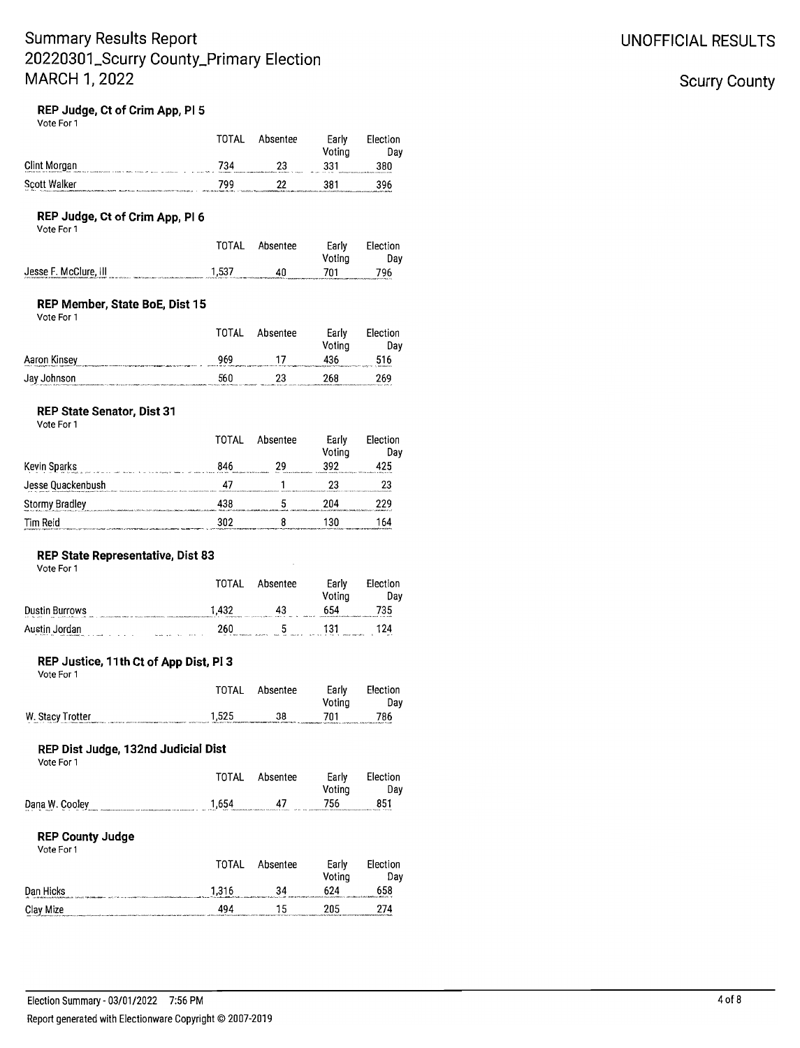### **UNOFFICIAL RESULTS**

### **Scurry County**

### REP Judge, Ct of Crim App. PI 5

| Vote For 1                                                                                                                                                                                                                                                 |       |               |                 |                 |
|------------------------------------------------------------------------------------------------------------------------------------------------------------------------------------------------------------------------------------------------------------|-------|---------------|-----------------|-----------------|
|                                                                                                                                                                                                                                                            | TOTAL | Absentee      | Early<br>Voting | Election<br>Day |
| Clint Morgan<br>.<br>Franklingsaren 1990a hande hande af gene genemmen i gjenne en den hande                                                                                                                                                               | 734   | 23            | 331             | 380             |
| <b>Scott Walker</b>                                                                                                                                                                                                                                        | 799   | 22            | 381             | 396             |
| REP Judge, Ct of Crim App, PI 6<br>Vote For 1                                                                                                                                                                                                              |       |               |                 |                 |
|                                                                                                                                                                                                                                                            | TOTAL | Absentee      | Early<br>Voting | Election<br>Day |
| Jesse F. McClure, III<br>.<br>National children is a communication of the communication of the communication of the communication of the communication of the communication of the communication of the communication of the communication of the communic | 1,537 | 40            | 701             | 796             |
| REP Member, State BoE, Dist 15<br>Vote For 1                                                                                                                                                                                                               |       |               |                 |                 |
|                                                                                                                                                                                                                                                            | TOTAL | Absentee      | Early<br>Voting | Election<br>Day |
| Aaron Kinsey Management of the Search Company of the Search Company of the Search Company of the Search Company                                                                                                                                            | 969   | 17            | 436             | 516             |
| Jay Johnson                                                                                                                                                                                                                                                | 560   | 23            | 268             | 269             |
| <b>REP State Senator, Dist 31</b><br>Vote For 1                                                                                                                                                                                                            |       |               |                 |                 |
|                                                                                                                                                                                                                                                            | TOTAL | Absentee      | Early<br>Voting | Election<br>Day |
| Kevin Sparks<br>and a strategie of the state and a strategie of the strategie                                                                                                                                                                              | 846   | 29            | 392             | 425             |
|                                                                                                                                                                                                                                                            | 47    | 1             | 23              | 23              |
| Stormy Bradley                                                                                                                                                                                                                                             | 438   | 5             | 204             | 229             |
| Tim Reid                                                                                                                                                                                                                                                   | 302   | 8             | 130             | 164             |
| REP State Representative, Dist 83<br>Vote For 1                                                                                                                                                                                                            |       |               |                 |                 |
|                                                                                                                                                                                                                                                            | TOTAL | Absentee      | Early<br>Voting | Election<br>Day |
| <b>Dustin Burrows</b>                                                                                                                                                                                                                                      | 1,432 | 43            | 654             | 735             |
| Austin Jordan                                                                                                                                                                                                                                              |       | 260 5 131 124 |                 |                 |
| REP Justice, 11th Ct of App Dist, Pl 3<br>Vote For 1                                                                                                                                                                                                       |       |               |                 |                 |
|                                                                                                                                                                                                                                                            | TOTAL | Absentee      | Early<br>Voting | Election<br>Day |
| W. Stacy Trotter                                                                                                                                                                                                                                           | 1,525 | 38            | 701             | 786             |
| REP Dist Judge, 132nd Judicial Dist<br>Vote For 1                                                                                                                                                                                                          |       |               |                 |                 |
|                                                                                                                                                                                                                                                            | TOTAL | Absentee      | Early<br>Voting | Election<br>Day |
| Dana W. Cooley                                                                                                                                                                                                                                             | 1,654 | 47            | 756             | 851             |
| <b>REP County Judge</b><br>Vote For 1                                                                                                                                                                                                                      |       |               |                 |                 |
|                                                                                                                                                                                                                                                            | TOTAL | Absentee      | Early<br>Voting | Election<br>Day |
| Dan Hicks                                                                                                                                                                                                                                                  | 1,316 | 34            | 624             | 658             |
| Clay Mize                                                                                                                                                                                                                                                  | 494   | 15            | 205             | 274             |
|                                                                                                                                                                                                                                                            |       |               |                 |                 |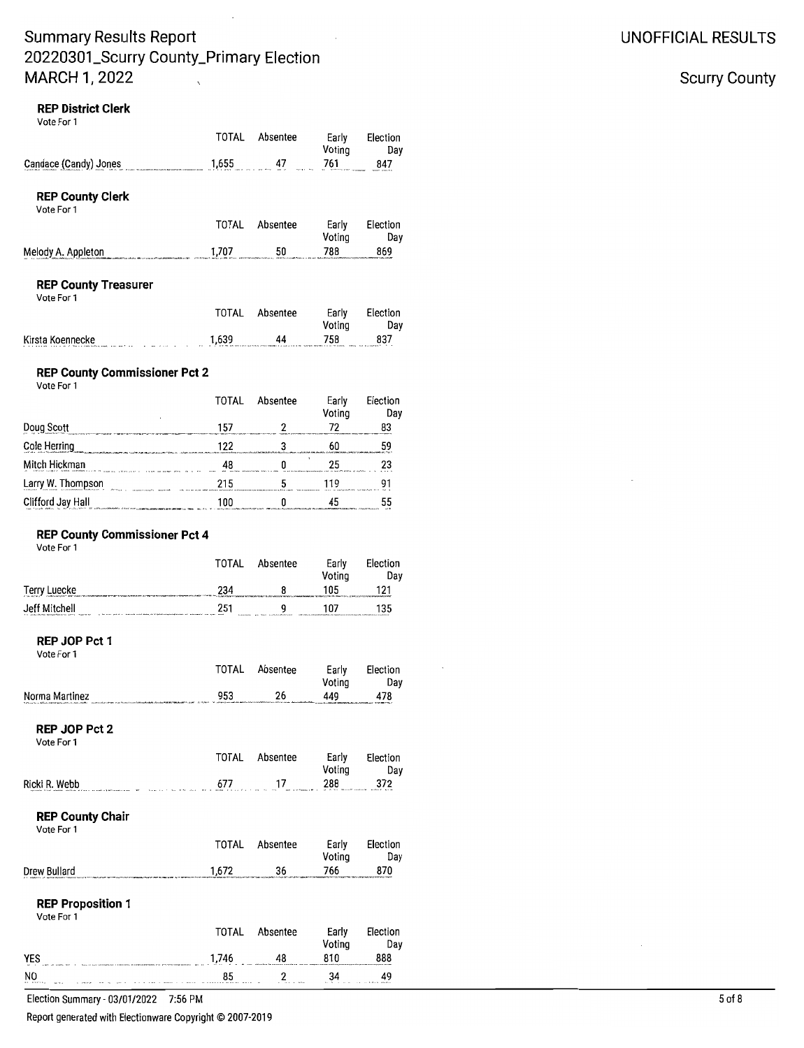### **REP District Clerk**

Vote For 1

|                                                                                                                                                                                                                                  | TOTAL        | Absentee | Early<br>Voting | Election<br>Day |
|----------------------------------------------------------------------------------------------------------------------------------------------------------------------------------------------------------------------------------|--------------|----------|-----------------|-----------------|
| Candace (Candy) Jones                                                                                                                                                                                                            | 1,655        | 47       | 761             | 847             |
| <b>REP County Clerk</b><br>Vote For 1                                                                                                                                                                                            |              |          |                 |                 |
|                                                                                                                                                                                                                                  | <b>TOTAL</b> | Absentee | Early<br>Voting | Election<br>Day |
| Melody A. Appleton                                                                                                                                                                                                               | 1,707        | 50       | 788             | 869             |
|                                                                                                                                                                                                                                  |              |          |                 |                 |
| <b>REP County Treasurer</b><br>Vote For 1                                                                                                                                                                                        |              |          |                 |                 |
|                                                                                                                                                                                                                                  | TOTAL        | Absentee | Early<br>Voting | Election<br>Day |
| Kirsta Koennecke<br>and the state of the state of                                                                                                                                                                                | 1,639        | 44       | 758             | 837             |
| <b>REP County Commissioner Pct 2</b><br>Vote For 1                                                                                                                                                                               |              |          |                 |                 |
|                                                                                                                                                                                                                                  | <b>TOTAL</b> | Absentee | Early<br>Voting | Election<br>Day |
| Doug Scott                                                                                                                                                                                                                       | 157          | 2        | 72              | 83              |
| Cole Herring<br>Services Services Services Services Services Services Services Services Services Services Services Services Services Services Services Services Services Services Services Services Services Services Services S | 122          | 3        | 60              | 59              |
| Mitch Hickman<br>.<br>In the continue of the comment of the continue of the continue of the continue of the continue of the continue                                                                                             | 48           | 0        | 25              | 23              |
| Larry W. Thompson<br>and the company of the                                                                                                                                                                                      | 215          | 5        | 119             | 91              |
| Clifford Jay Hall<br> <br> -<br>  2011    2012    2013    2014    2014    2014    2014    2014    2014    2014    2014    2014    2014    2014                                                                                   | 100          | 0        | 45              | 55              |

# **REP County Commissioner Pct 4**<br>Vote For 1

| VULC I UI I                                                                |                                                                                   | TOTAL                  | Absentee                                                   | Early<br>Voting                                                                             | Election<br>Dav |
|----------------------------------------------------------------------------|-----------------------------------------------------------------------------------|------------------------|------------------------------------------------------------|---------------------------------------------------------------------------------------------|-----------------|
| Terry Luecke                                                               |                                                                                   | 234                    |                                                            | 105                                                                                         | 121             |
| Jeff Mitchell<br>1.3 center that a homeworth changes automa - fear-thilder | <b>COL SINI SECRET</b><br>challenge would dealer als be been discussed and except | 251<br><b>BUREAUCH</b> | a<br>and the change charge a stand<br>$-1$<br><b>MAILE</b> | 107<br>and constitutions in the characteristic interferoments. In this column can extensive | 135             |

Day

#### REP JOP Pct 1

| Vote For 1                                                                                        |              |          |                 |                        |
|---------------------------------------------------------------------------------------------------|--------------|----------|-----------------|------------------------|
|                                                                                                   | TOTAL        | Absentee | Early           | Election<br>Voting Day |
| Norma Martinez                                                                                    | 953 — 100    | 26       | 449 478         |                        |
|                                                                                                   |              |          |                 |                        |
| REP JOP Pct 2<br>Vote For 1                                                                       |              |          |                 |                        |
|                                                                                                   | TOTAL        | Absentee | Early           | Election<br>Voting Day |
| $677$ $17$ $288$ $372$<br>Ricki R. Webb                                                           |              |          |                 |                        |
| <b>REP County Chair</b><br>Vote For 1                                                             |              |          |                 |                        |
|                                                                                                   | <b>TOTAL</b> | Absentee | Early<br>Voting | Election<br>Day        |
| Drew Bullard                                                                                      | 1,672        | 36       |                 | 870                    |
| <b>REP Proposition 1</b><br>Vote For 1                                                            |              |          |                 |                        |
|                                                                                                   | TOTAL        | Absentee | Early           | Election<br>Voting Day |
| YES $\frac{1}{2}$ . $\frac{1}{2}$ . $\frac{1}{2}$ . $\frac{1}{2}$ . $\frac{1}{2}$ . $\frac{1}{2}$ |              | 48       | 810             | 888                    |
|                                                                                                   |              |          |                 |                        |

 $85$ 

 $2$ 

 $34$  49

 $\sim$ Election Summary - 03/01/2022 7:56 PM

 $\overline{a}$ 

N<sub>0</sub>

Report generated with Electionware Copyright @ 2007-2019

 $\mathbf{r}$ 

# **UNOFFICIAL RESULTS**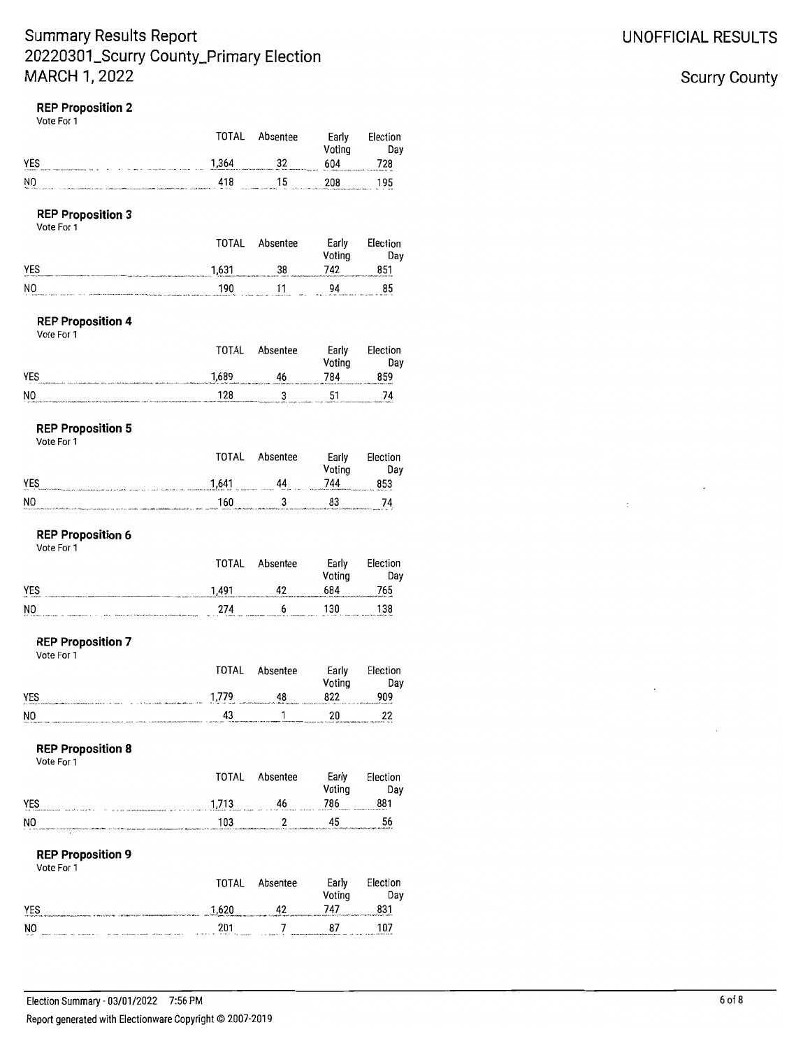### **REP Proposition 2**

Vote For 1

|                                        | TOTAL | Absentee | Early<br>Voting | Election<br>Day |
|----------------------------------------|-------|----------|-----------------|-----------------|
| YES                                    | 1,364 | 32       | 604             | 728             |
| NO                                     | 418   | 15       | 208             | 195             |
| <b>REP Proposition 3</b><br>Vote For 1 |       |          |                 |                 |
|                                        | TOTAL | Absentee | Early<br>Voting | Election<br>Day |
| YES                                    | 1,631 | 38       | 742             | 851             |
| NO                                     | 190   |          | 94              | 85              |
| <b>REP Proposition 4</b><br>Vote For 1 |       |          |                 |                 |
|                                        | TOTAL | Absentee | Early<br>Voting | Election<br>Day |
| YES                                    | 1,689 | 46       | 784             | 859             |
| NO                                     | 128   | 3        | 51              | 74              |

### **REP Proposition 5**

Vote For 1

|                                                                                                                                                                                                                                      | TOTAL | Absentee                                                                                                                                                                                                                      | Early<br>Votina                                                       | Election<br>Dav   |
|--------------------------------------------------------------------------------------------------------------------------------------------------------------------------------------------------------------------------------------|-------|-------------------------------------------------------------------------------------------------------------------------------------------------------------------------------------------------------------------------------|-----------------------------------------------------------------------|-------------------|
| YES<br>$x = 0.1$<br>through a 197 a 197 a 197 changes who constructs were a                                                                                                                                                          | 1.641 | 44<br><b>Manufacture</b><br>1.111                                                                                                                                                                                             | 744<br>who are statement and state of the contract states computed as | 853<br>dealers of |
| NO<br>the form completed and other than the complete the complete the second complete the second of the complete than the complete the complete the complete than the complete the complete than the complete the complete the compl | 160   | Web and their contract challs half the collection of the collection of the contract of the collection of the characteristic components are contracted in the collection of the collection of the collection of the collection | 83                                                                    | 74                |

### **REP Proposition 6**

Vote For 1

|     | TOTAL | Absentee | Early      | Election                                        |
|-----|-------|----------|------------|-------------------------------------------------|
|     |       |          | Voting     | Dav                                             |
| YES | 1.491 | 42       | 684        | 765                                             |
| NO  | 274   |          | 130<br>. . | 138<br>and to the community communities and the |

#### **REP Proposition 7** Vote For 1

|                                                                             | TOTAL | Absentee                                                                     | Early<br>Voting                                                                              | Election<br>Day |
|-----------------------------------------------------------------------------|-------|------------------------------------------------------------------------------|----------------------------------------------------------------------------------------------|-----------------|
| YES<br>Contract McAdama McAdama additional and Chan-Chan-Chan-Chan-<br>---- | 1.779 | 48<br>A contract contract in additional industry and off collections design. | 822<br>after a property state of the control of the control of the control of the control of | 909             |
| NΟ                                                                          | 43    |                                                                              | 20<br>To your introduction come their than independence of a                                 | 22              |

#### **REP Proposition 8**

| TOTAL |    | Early<br>Voting | Election<br>Dav                    |
|-------|----|-----------------|------------------------------------|
| 1,713 | 46 | 786             | 881<br>department paralleless when |
| 103   |    | 45              | 56                                 |
|       |    | Absentee        |                                    |

#### **REP Proposition 9** Vote For 1

| .                                             | <b>TOTAL</b>               | Absentee | Early<br>Votina                                                                                                   | Election<br>Dav                 |
|-----------------------------------------------|----------------------------|----------|-------------------------------------------------------------------------------------------------------------------|---------------------------------|
| YES<br>INVESTIGATION CONTINUES ARRESTS FOR AS | 1.620                      | 42       | 747<br>specialización de la contenua componente for localidad en collected componente, especialización constitui- | 831                             |
| NO<br>12, 137<br>1.111                        | 201<br><br><b>BEERINGS</b> |          | 87<br>SERBERTEEREE INVASIATINGSTERSEERS<br>$\cdots$<br>$\mathbf{r}$<br>101.07                                     | 107<br>a surge with form on oft |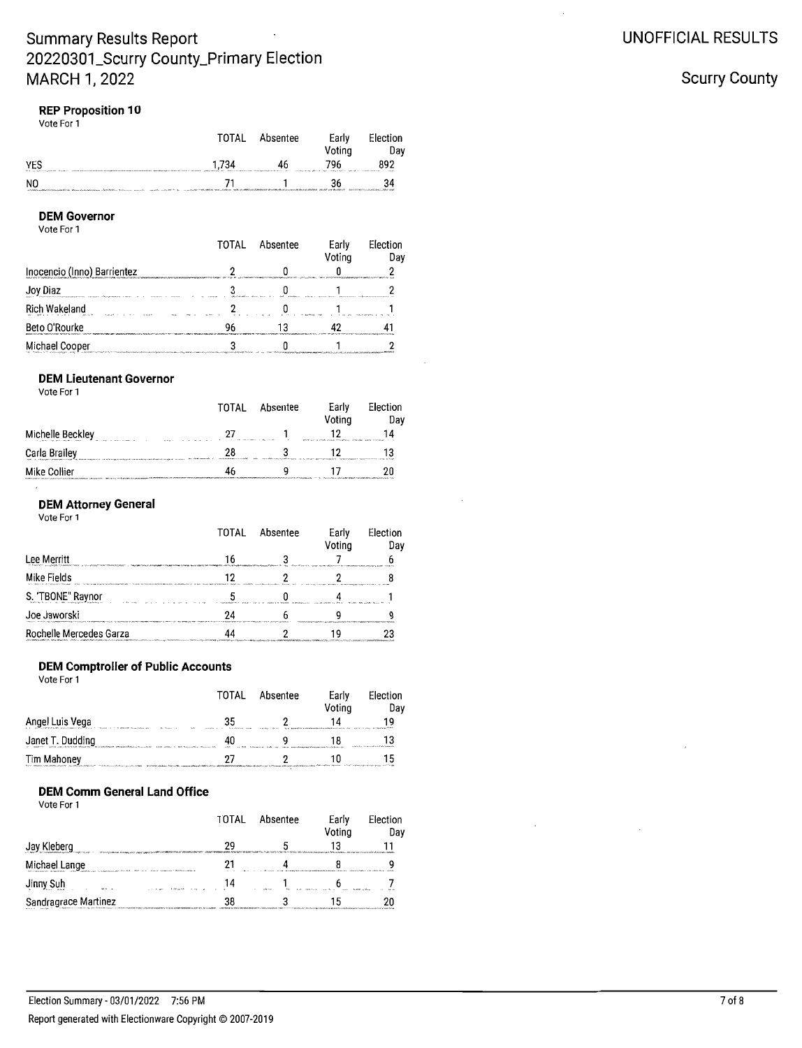#### **REP Proposition 10** Vote For 1

|                                                      | <b>TOTAL</b> | Absentee | Early<br>Voting     | Election<br>Dav                                     |
|------------------------------------------------------|--------------|----------|---------------------|-----------------------------------------------------|
| YES<br>1.1 is determinatefunal. hughest come museums | 1,734        | 46       | 796<br>$n \times n$ | 892<br>man a set in sea de a compartamento a compa- |
| NO                                                   |              |          | 36                  | 34                                                  |

#### **DEM Governor**

Vote For 1

|                                                                           | ΤΩΤΑΙ | Ahsentee | Early<br>Voting | Election<br>Day |
|---------------------------------------------------------------------------|-------|----------|-----------------|-----------------|
| Inocencio (Inno) Barrientez                                               |       |          |                 |                 |
| Joy Diaz<br>comprehensive announce of the comprehensive and comprehensive |       |          |                 |                 |
| Rich Wakeland                                                             |       |          |                 |                 |
| Beto O'Rourke                                                             |       |          |                 |                 |
| Michael Cooper                                                            |       |          |                 |                 |

#### **DEM Lieutenant Governor** Vote For 1

| 1000 I VI |  |  |
|-----------|--|--|
|           |  |  |
|           |  |  |
|           |  |  |

|                  |                                 | ____<br>Voting                                                        | Dav |
|------------------|---------------------------------|-----------------------------------------------------------------------|-----|
| Michelle Beckley | 97<br>a considerable a Warranty | World and a chief stands characterized Mississipping soldier accounts | 14  |
| Carla Brailey    | 28                              |                                                                       | 13  |
| Mike Collier     | 46                              |                                                                       | ንበ  |

TOTAL Absentee

Early

Election

#### **DEM Attorney General**

Vote For 1

|                         | TOTAL | Absentee | Early<br>Voting | Election<br>Dav |
|-------------------------|-------|----------|-----------------|-----------------|
| Lee Merritt             |       |          |                 |                 |
| Mike Fields             |       |          |                 |                 |
| S. "TBONE" Raynor       |       |          |                 |                 |
| Joe Jaworski            |       |          |                 |                 |
| Rochelle Mercedes Garza |       |          |                 |                 |

### **DEM Comptroller of Public Accounts**

Vote For 1

|                                                                                                                        | TOTAL | Absentee                                                                              | Early<br>Voting | Election<br>Day |
|------------------------------------------------------------------------------------------------------------------------|-------|---------------------------------------------------------------------------------------|-----------------|-----------------|
| Angel Luis Vega                                                                                                        | 35    |                                                                                       | 14              | 19              |
| Janet T. Dudding                                                                                                       |       | THE R. P. LEWIS CO., LANSING MICH. 49-14039-1-120-2                                   |                 | 13              |
| Tim Mahoney<br>half a stream into ability and the construction of the construction of a construction of a construction | 27    | <b>IMPORTANT CONTRACT CONTRACT AND AN INTERNATIONAL CONTRACT AND AN INCORPORATION</b> |                 | 15              |

### **DEM Comm General Land Office**

Vote For 1

|                                                                                                  | TOTAL | Absentee                                                                              | Early<br>Voting | Election<br>Day |
|--------------------------------------------------------------------------------------------------|-------|---------------------------------------------------------------------------------------|-----------------|-----------------|
| Jay Kleberg                                                                                      | 29    |                                                                                       | 13              |                 |
| Michael Lange<br>to a function of the country and contact of the company of the first contact of | 21    | the main and a major factor of the analysis of the state of the state of the state of |                 |                 |
| Jinny Suh                                                                                        | 14    |                                                                                       |                 |                 |
| Sandragrace Martinez                                                                             | 38    |                                                                                       |                 |                 |